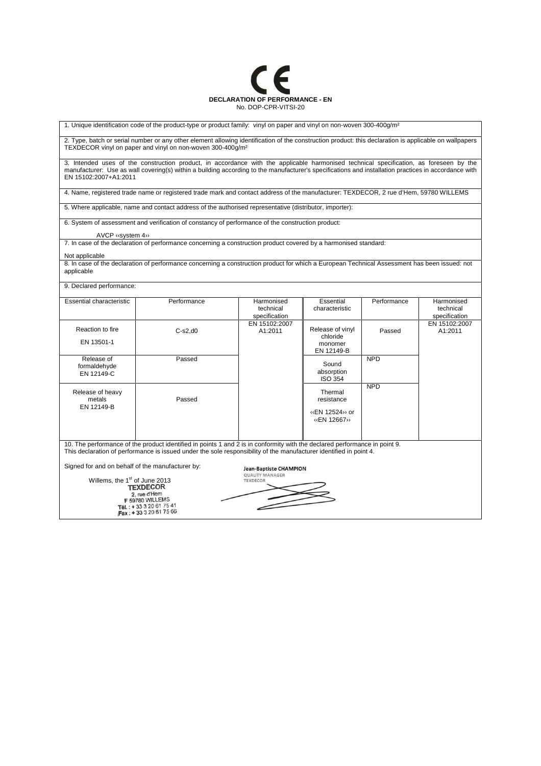

1. Unique identification code of the product-type or product family: vinyl on paper and vinyl on non-woven 300-400g/m²

2. Type, batch or serial number or any other element allowing identification of the construction product: this declaration is applicable on wallpapers TEXDECOR vinyl on paper and vinyl on non-woven 300-400g/m²

3. Intended uses of the construction product, in accordance with the applicable harmonised technical specification, as foreseen by the manufacturer: Use as wall covering(s) within a building according to the manufacturer's specifications and installation practices in accordance with EN 15102:2007+A1:2011

4. Name, registered trade name or registered trade mark and contact address of the manufacturer: TEXDECOR, 2 rue d'Hem, 59780 WILLEMS

5. Where applicable, name and contact address of the authorised representative (distributor, importer):

6. System of assessment and verification of constancy of performance of the construction product:

AVCP ‹‹system 4››

7. In case of the declaration of performance concerning a construction product covered by a harmonised standard:

## Not applicable

8. In case of the declaration of performance concerning a construction product for which a European Technical Assessment has been issued: not applicable

9. Declared performance:

| Essential characteristic                         | Performance                                                                                                                | Harmonised                                              | Essential                    | Performance | Harmonised    |  |  |
|--------------------------------------------------|----------------------------------------------------------------------------------------------------------------------------|---------------------------------------------------------|------------------------------|-------------|---------------|--|--|
|                                                  |                                                                                                                            | technical                                               | characteristic               |             | technical     |  |  |
|                                                  |                                                                                                                            | specification                                           |                              |             | specification |  |  |
|                                                  |                                                                                                                            | EN 15102:2007                                           |                              |             | EN 15102:2007 |  |  |
| Reaction to fire                                 | $C-s2,d0$                                                                                                                  | A1:2011                                                 | Release of vinyl<br>chloride | Passed      | A1:2011       |  |  |
| EN 13501-1                                       |                                                                                                                            |                                                         | monomer                      |             |               |  |  |
|                                                  |                                                                                                                            |                                                         | EN 12149-B                   |             |               |  |  |
| Release of                                       | Passed                                                                                                                     |                                                         |                              | <b>NPD</b>  |               |  |  |
| formaldehyde                                     |                                                                                                                            |                                                         | Sound                        |             |               |  |  |
| EN 12149-C                                       |                                                                                                                            |                                                         | absorption                   |             |               |  |  |
|                                                  |                                                                                                                            |                                                         | <b>ISO 354</b>               |             |               |  |  |
|                                                  |                                                                                                                            |                                                         |                              | <b>NPD</b>  |               |  |  |
| Release of heavy                                 |                                                                                                                            |                                                         | Thermal                      |             |               |  |  |
| metals                                           | Passed                                                                                                                     |                                                         | resistance                   |             |               |  |  |
| EN 12149-B                                       |                                                                                                                            |                                                         | «EN 12524» or                |             |               |  |  |
|                                                  |                                                                                                                            |                                                         | «EN 12667»                   |             |               |  |  |
|                                                  |                                                                                                                            |                                                         |                              |             |               |  |  |
|                                                  |                                                                                                                            |                                                         |                              |             |               |  |  |
|                                                  | 10. The performance of the product identified in points 1 and 2 is in conformity with the declared performance in point 9. |                                                         |                              |             |               |  |  |
|                                                  | This declaration of performance is issued under the sole responsibility of the manufacturer identified in point 4.         |                                                         |                              |             |               |  |  |
|                                                  |                                                                                                                            |                                                         |                              |             |               |  |  |
| Signed for and on behalf of the manufacturer by: |                                                                                                                            |                                                         |                              |             |               |  |  |
|                                                  |                                                                                                                            | <b>Jean-Baptiste CHAMPION</b><br><b>QUALITY MANAGER</b> |                              |             |               |  |  |
| Willems, the 1 <sup>st</sup> of June 2013        |                                                                                                                            | <b>TEXDECOR</b>                                         |                              |             |               |  |  |
| <b>TEXDECOR</b>                                  |                                                                                                                            |                                                         |                              |             |               |  |  |
| 2, rue d'Hem                                     |                                                                                                                            |                                                         |                              |             |               |  |  |
|                                                  | F 59780 WILLEMS<br>Tél.: +33320617541                                                                                      |                                                         |                              |             |               |  |  |
| Fax: +33320617566                                |                                                                                                                            |                                                         |                              |             |               |  |  |
|                                                  |                                                                                                                            |                                                         |                              |             |               |  |  |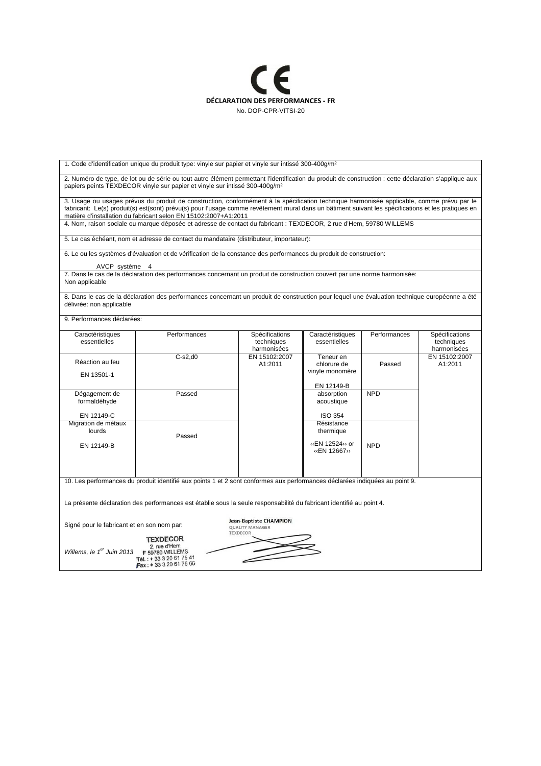

| 1. Code d'identification unique du produit type: vinyle sur papier et vinyle sur intissé 300-400g/m <sup>2</sup>                                                                                                                                 |                                                                                                                                                                                                                                                                                                                                                                    |                                             |                                  |              |                                             |  |  |  |
|--------------------------------------------------------------------------------------------------------------------------------------------------------------------------------------------------------------------------------------------------|--------------------------------------------------------------------------------------------------------------------------------------------------------------------------------------------------------------------------------------------------------------------------------------------------------------------------------------------------------------------|---------------------------------------------|----------------------------------|--------------|---------------------------------------------|--|--|--|
| 2. Numéro de type, de lot ou de série ou tout autre élément permettant l'identification du produit de construction : cette déclaration s'applique aux<br>papiers peints TEXDECOR vinyle sur papier et vinyle sur intissé 300-400q/m <sup>2</sup> |                                                                                                                                                                                                                                                                                                                                                                    |                                             |                                  |              |                                             |  |  |  |
|                                                                                                                                                                                                                                                  | 3. Usage ou usages prévus du produit de construction, conformément à la spécification technique harmonisée applicable, comme prévu par le<br>fabricant: Le(s) produit(s) est(sont) prévu(s) pour l'usage comme revêtement mural dans un bâtiment suivant les spécifications et les pratiques en<br>matière d'installation du fabricant selon EN 15102:2007+A1:2011 |                                             |                                  |              |                                             |  |  |  |
|                                                                                                                                                                                                                                                  | 4. Nom, raison sociale ou marque déposée et adresse de contact du fabricant : TEXDECOR, 2 rue d'Hem, 59780 WILLEMS                                                                                                                                                                                                                                                 |                                             |                                  |              |                                             |  |  |  |
|                                                                                                                                                                                                                                                  | 5. Le cas échéant, nom et adresse de contact du mandataire (distributeur, importateur):                                                                                                                                                                                                                                                                            |                                             |                                  |              |                                             |  |  |  |
|                                                                                                                                                                                                                                                  | 6. Le ou les systèmes d'évaluation et de vérification de la constance des performances du produit de construction:                                                                                                                                                                                                                                                 |                                             |                                  |              |                                             |  |  |  |
| AVCP système 4                                                                                                                                                                                                                                   |                                                                                                                                                                                                                                                                                                                                                                    |                                             |                                  |              |                                             |  |  |  |
| Non applicable                                                                                                                                                                                                                                   | 7. Dans le cas de la déclaration des performances concernant un produit de construction couvert par une norme harmonisée:                                                                                                                                                                                                                                          |                                             |                                  |              |                                             |  |  |  |
| délivrée: non applicable                                                                                                                                                                                                                         | 8. Dans le cas de la déclaration des performances concernant un produit de construction pour lequel une évaluation technique européenne a été                                                                                                                                                                                                                      |                                             |                                  |              |                                             |  |  |  |
| 9. Performances déclarées:                                                                                                                                                                                                                       |                                                                                                                                                                                                                                                                                                                                                                    |                                             |                                  |              |                                             |  |  |  |
| Caractéristiques<br>essentielles                                                                                                                                                                                                                 | Performances                                                                                                                                                                                                                                                                                                                                                       | Spécifications<br>techniques<br>harmonisées | Caractéristiques<br>essentielles | Performances | Spécifications<br>techniques<br>harmonisées |  |  |  |
| Réaction au feu                                                                                                                                                                                                                                  | $C-s2,d0$                                                                                                                                                                                                                                                                                                                                                          | EN 15102:2007<br>A1:2011                    | Teneur en<br>chlorure de         | Passed       | EN 15102:2007<br>A1:2011                    |  |  |  |
| EN 13501-1                                                                                                                                                                                                                                       |                                                                                                                                                                                                                                                                                                                                                                    |                                             | vinyle monomère                  |              |                                             |  |  |  |
| Dégagement de                                                                                                                                                                                                                                    | Passed                                                                                                                                                                                                                                                                                                                                                             |                                             | EN 12149-B<br>absorption         | <b>NPD</b>   |                                             |  |  |  |
| formaldéhyde                                                                                                                                                                                                                                     |                                                                                                                                                                                                                                                                                                                                                                    |                                             | acoustique                       |              |                                             |  |  |  |
| EN 12149-C                                                                                                                                                                                                                                       |                                                                                                                                                                                                                                                                                                                                                                    |                                             | <b>ISO 354</b>                   |              |                                             |  |  |  |
| Migration de métaux<br>lourds                                                                                                                                                                                                                    |                                                                                                                                                                                                                                                                                                                                                                    |                                             | Résistance<br>thermique          |              |                                             |  |  |  |
|                                                                                                                                                                                                                                                  | Passed                                                                                                                                                                                                                                                                                                                                                             |                                             |                                  |              |                                             |  |  |  |
| EN 12149-B                                                                                                                                                                                                                                       |                                                                                                                                                                                                                                                                                                                                                                    |                                             | «EN 12524» or<br>«EN 12667»      | <b>NPD</b>   |                                             |  |  |  |
| 10. Les performances du produit identifié aux points 1 et 2 sont conformes aux performances déclarées indiquées au point 9.                                                                                                                      |                                                                                                                                                                                                                                                                                                                                                                    |                                             |                                  |              |                                             |  |  |  |
| La présente déclaration des performances est établie sous la seule responsabilité du fabricant identifié au point 4.                                                                                                                             |                                                                                                                                                                                                                                                                                                                                                                    |                                             |                                  |              |                                             |  |  |  |
| <b>Jean-Baptiste CHAMPION</b><br>Signé pour le fabricant et en son nom par:<br><b>QUALITY MANAGER</b><br><b>TEXDECOR</b>                                                                                                                         |                                                                                                                                                                                                                                                                                                                                                                    |                                             |                                  |              |                                             |  |  |  |
| <b>TEXDECOR</b><br>2, rue d'Hem<br>Willems, le 1er Juin 2013<br>F 59780 WILLEMS                                                                                                                                                                  |                                                                                                                                                                                                                                                                                                                                                                    |                                             |                                  |              |                                             |  |  |  |
| Tél.: +33320617541<br>Fax: +33320617566                                                                                                                                                                                                          |                                                                                                                                                                                                                                                                                                                                                                    |                                             |                                  |              |                                             |  |  |  |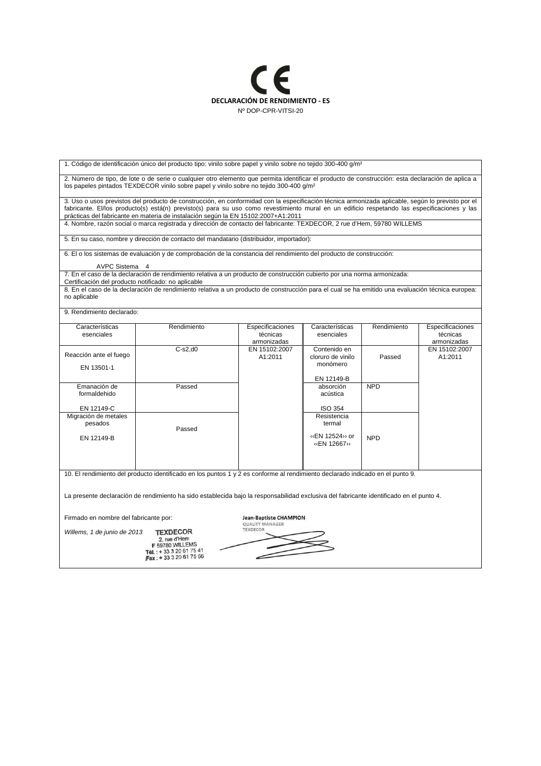

| 1. Código de identificación único del producto tipo: vinilo sobre papel y vinilo sobre no tejido 300-400 g/m <sup>2</sup>                                                                                                                                                                                                                                                              |                                                                                                                                                  |                                             |                                                      |             |                                             |  |  |
|----------------------------------------------------------------------------------------------------------------------------------------------------------------------------------------------------------------------------------------------------------------------------------------------------------------------------------------------------------------------------------------|--------------------------------------------------------------------------------------------------------------------------------------------------|---------------------------------------------|------------------------------------------------------|-------------|---------------------------------------------|--|--|
| 2. Número de tipo, de lote o de serie o cualquier otro elemento que permita identificar el producto de construcción: esta declaración de aplica a<br>los papeles pintados TEXDECOR vinilo sobre papel y vinilo sobre no tejido 300-400 q/m <sup>2</sup>                                                                                                                                |                                                                                                                                                  |                                             |                                                      |             |                                             |  |  |
| 3. Uso o usos previstos del producto de construcción, en conformidad con la especificación técnica armonizada aplicable, según lo previsto por el<br>fabricante. El/los producto(s) está(n) previsto(s) para su uso como revestimiento mural en un edificio respetando las especificaciones y las<br>prácticas del fabricante en materia de instalación según la EN 15102:2007+A1:2011 |                                                                                                                                                  |                                             |                                                      |             |                                             |  |  |
|                                                                                                                                                                                                                                                                                                                                                                                        | 4. Nombre, razón social o marca registrada y dirección de contacto del fabricante: TEXDECOR, 2 rue d'Hem, 59780 WILLEMS                          |                                             |                                                      |             |                                             |  |  |
| 5. En su caso, nombre y dirección de contacto del mandatario (distribuidor, importador):                                                                                                                                                                                                                                                                                               |                                                                                                                                                  |                                             |                                                      |             |                                             |  |  |
|                                                                                                                                                                                                                                                                                                                                                                                        | 6. El o los sistemas de evaluación y de comprobación de la constancia del rendimiento del producto de construcción:                              |                                             |                                                      |             |                                             |  |  |
| AVPC Sistema 4                                                                                                                                                                                                                                                                                                                                                                         |                                                                                                                                                  |                                             |                                                      |             |                                             |  |  |
| Certificación del producto notificado: no aplicable                                                                                                                                                                                                                                                                                                                                    | 7. En el caso de la declaración de rendimiento relativa a un producto de construcción cubierto por una norma armonizada:                         |                                             |                                                      |             |                                             |  |  |
| no aplicable                                                                                                                                                                                                                                                                                                                                                                           | 8. En el caso de la declaración de rendimiento relativa a un producto de construcción para el cual se ha emitido una evaluación técnica europea: |                                             |                                                      |             |                                             |  |  |
| 9. Rendimiento declarado:                                                                                                                                                                                                                                                                                                                                                              |                                                                                                                                                  |                                             |                                                      |             |                                             |  |  |
| Características<br>esenciales                                                                                                                                                                                                                                                                                                                                                          | Rendimiento                                                                                                                                      | Especificaciones<br>técnicas<br>armonizadas | Características<br>esenciales                        | Rendimiento | Especificaciones<br>técnicas<br>armonizadas |  |  |
| Reacción ante el fuego<br>EN 13501-1                                                                                                                                                                                                                                                                                                                                                   | $C-s2,d0$                                                                                                                                        | EN 15102:2007<br>A1:2011                    | Contenido en<br>cloruro de vinilo<br>monómero        | Passed      | EN 15102:2007<br>A1:2011                    |  |  |
| Emanación de<br>formaldehido                                                                                                                                                                                                                                                                                                                                                           | Passed                                                                                                                                           |                                             | EN 12149-B<br>absorción<br>acústica                  | <b>NPD</b>  |                                             |  |  |
| EN 12149-C                                                                                                                                                                                                                                                                                                                                                                             |                                                                                                                                                  |                                             | <b>ISO 354</b>                                       |             |                                             |  |  |
| Migración de metales<br>pesados<br>EN 12149-B                                                                                                                                                                                                                                                                                                                                          | Passed                                                                                                                                           |                                             | Resistencia<br>termal<br>«EN 12524» or<br>«EN 12667» | <b>NPD</b>  |                                             |  |  |
| 10. El rendimiento del producto identificado en los puntos 1 y 2 es conforme al rendimiento declarado indicado en el punto 9.                                                                                                                                                                                                                                                          |                                                                                                                                                  |                                             |                                                      |             |                                             |  |  |
| La presente declaración de rendimiento ha sido establecida bajo la responsabilidad exclusiva del fabricante identificado en el punto 4.                                                                                                                                                                                                                                                |                                                                                                                                                  |                                             |                                                      |             |                                             |  |  |
| Firmado en nombre del fabricante por:<br><b>Jean-Baptiste CHAMPION</b><br><b>QUALITY MANAGER</b>                                                                                                                                                                                                                                                                                       |                                                                                                                                                  |                                             |                                                      |             |                                             |  |  |
| <b>TEXDECOR</b><br><b>TEXDECOR</b><br>Willems, 1 de junio de 2013<br>2. rue d'Hem<br>F 59780 WILLEMS<br>Tél.: +33 3 20 61 75 41<br>Fax: +33320617566                                                                                                                                                                                                                                   |                                                                                                                                                  |                                             |                                                      |             |                                             |  |  |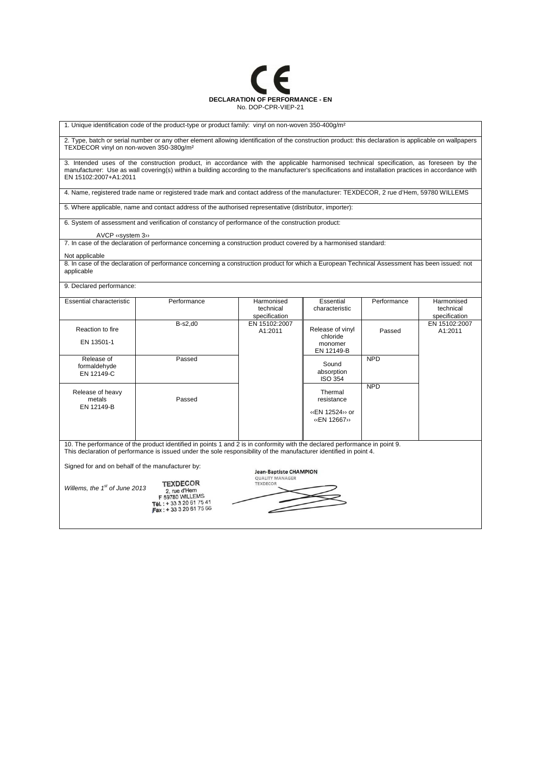

1. Unique identification code of the product-type or product family: vinyl on non-woven 350-400g/m<sup>2</sup>

2. Type, batch or serial number or any other element allowing identification of the construction product: this declaration is applicable on wallpapers TEXDECOR vinyl on non-woven 350-380g/m²

3. Intended uses of the construction product, in accordance with the applicable harmonised technical specification, as foreseen by the manufacturer: Use as wall covering(s) within a building according to the manufacturer's specifications and installation practices in accordance with EN 15102:2007+A1:2011

4. Name, registered trade name or registered trade mark and contact address of the manufacturer: TEXDECOR, 2 rue d'Hem, 59780 WILLEMS

5. Where applicable, name and contact address of the authorised representative (distributor, importer):

6. System of assessment and verification of constancy of performance of the construction product:

AVCP ‹‹system 3››

7. In case of the declaration of performance concerning a construction product covered by a harmonised standard:

## Not applicable

8. In case of the declaration of performance concerning a construction product for which a European Technical Assessment has been issued: not applicable

9. Declared performance:

| <b>Essential characteristic</b>                                                                                            | Performance | Harmonised    | Essential        | Performance | Harmonised    |  |
|----------------------------------------------------------------------------------------------------------------------------|-------------|---------------|------------------|-------------|---------------|--|
|                                                                                                                            |             | technical     | characteristic   |             | technical     |  |
|                                                                                                                            |             | specification |                  |             | specification |  |
|                                                                                                                            | $B-s2,d0$   | EN 15102:2007 |                  |             | EN 15102:2007 |  |
| Reaction to fire                                                                                                           |             | A1:2011       | Release of vinyl | Passed      | A1:2011       |  |
|                                                                                                                            |             |               | chloride         |             |               |  |
| EN 13501-1                                                                                                                 |             |               | monomer          |             |               |  |
|                                                                                                                            |             |               | EN 12149-B       |             |               |  |
| Release of                                                                                                                 | Passed      |               |                  | <b>NPD</b>  |               |  |
| formaldehyde                                                                                                               |             |               | Sound            |             |               |  |
| EN 12149-C                                                                                                                 |             |               | absorption       |             |               |  |
|                                                                                                                            |             |               | <b>ISO 354</b>   |             |               |  |
|                                                                                                                            |             |               |                  | <b>NPD</b>  |               |  |
| Release of heavy                                                                                                           |             |               | Thermal          |             |               |  |
| metals                                                                                                                     | Passed      |               | resistance       |             |               |  |
| EN 12149-B                                                                                                                 |             |               | (EN 12524) or    |             |               |  |
|                                                                                                                            |             |               | «EN 12667»       |             |               |  |
|                                                                                                                            |             |               |                  |             |               |  |
|                                                                                                                            |             |               |                  |             |               |  |
|                                                                                                                            |             |               |                  |             |               |  |
| 10. The performance of the product identified in points 1 and 2 is in conformity with the declared performance in point 9. |             |               |                  |             |               |  |

This declaration of performance is issued under the sole responsibility of the manufacturer identified in point 4.

Signed for and on behalf of the manufacturer by:

**TEXDECOR** Willems, the  $1<sup>st</sup>$  of June 2013 2, rue d'Hem

F 59780 WILLEMS<br>Tél.: + 33 3 20 61 75 41<br>Fax: + 33 3 20 61 75 66

|                 |                        | <b>Jean-Baptiste CHAMPION</b> |  |
|-----------------|------------------------|-------------------------------|--|
|                 | <b>QUALITY MANAGER</b> |                               |  |
| <b>TEXDECOR</b> |                        |                               |  |
|                 |                        |                               |  |
|                 |                        |                               |  |
|                 |                        |                               |  |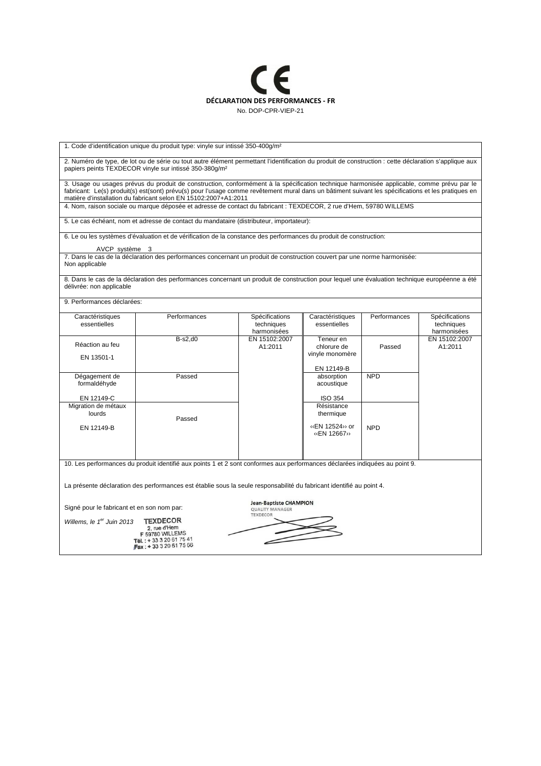

1. Code d'identification unique du produit type: vinyle sur intissé 350-400g/m²

2. Numéro de type, de lot ou de série ou tout autre élément permettant l'identification du produit de construction : cette déclaration s'applique aux papiers peints TEXDECOR vinyle sur intissé 350-380g/m²

3. Usage ou usages prévus du produit de construction, conformément à la spécification technique harmonisée applicable, comme prévu par le fabricant: Le(s) produit(s) est(sont) prévu(s) pour l'usage comme revêtement mural dans un bâtiment suivant les spécifications et les pratiques en matière d'installation du fabricant selon EN 15102:2007+A1:2011

4. Nom, raison sociale ou marque déposée et adresse de contact du fabricant : TEXDECOR, 2 rue d'Hem, 59780 WILLEMS

5. Le cas échéant, nom et adresse de contact du mandataire (distributeur, importateur):

6. Le ou les systèmes d'évaluation et de vérification de la constance des performances du produit de construction:

AVCP système

7. Dans le cas de la déclaration des performances concernant un produit de construction couvert par une norme harmonisée: Non applicable

8. Dans le cas de la déclaration des performances concernant un produit de construction pour lequel une évaluation technique européenne a été délivrée: non applicable

9. Performances déclarées:

| Caractéristiques    | Performances | Spécifications | Caractéristiques | Performances | Spécifications |
|---------------------|--------------|----------------|------------------|--------------|----------------|
| essentielles        |              | techniques     | essentielles     |              | techniques     |
|                     |              | harmonisées    |                  |              | harmonisées    |
|                     | $B-s2,d0$    | EN 15102:2007  | Teneur en        |              | EN 15102:2007  |
| Réaction au feu     |              | A1:2011        | chlorure de      | Passed       | A1:2011        |
|                     |              |                | vinyle monomère  |              |                |
| EN 13501-1          |              |                |                  |              |                |
|                     |              |                | EN 12149-B       |              |                |
|                     |              |                |                  |              |                |
| Dégagement de       | Passed       |                | absorption       | <b>NPD</b>   |                |
| formaldéhyde        |              |                | acoustique       |              |                |
|                     |              |                |                  |              |                |
| EN 12149-C          |              |                | <b>ISO 354</b>   |              |                |
| Migration de métaux |              |                | Résistance       |              |                |
| lourds              |              |                | thermique        |              |                |
|                     | Passed       |                |                  |              |                |
| EN 12149-B          |              |                | «EN 12524» or    | <b>NPD</b>   |                |
|                     |              |                | «EN 12667»       |              |                |
|                     |              |                |                  |              |                |
|                     |              |                |                  |              |                |
|                     |              |                |                  |              |                |
|                     |              |                |                  |              |                |

10. Les performances du produit identifié aux points 1 et 2 sont conformes aux performances déclarées indiquées au point 9.

La présente déclaration des performances est établie sous la seule responsabilité du fabricant identifié au point 4.

Signé pour le fabricant et en son nom par:

**TEXDECOR** 

Willems, le 1<sup>er</sup> Juin 2013 **TEXDECOR**<br>
2, rue d'Hem<br> **F 69780 WILLEMS**<br> **F 69780 WILLEMS**<br> **F 68.:** + 33 3 20 61 75 41<br> **Fax:** + 33 3 20 61 75 66

Jean-Baptiste CHAMPION **QUALITY MANAGER** TEXDECOR  $\iff$